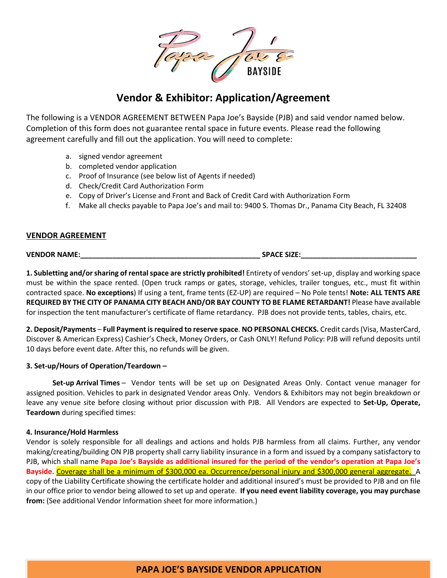

# **Vendor & Exhibitor: Application/Agreement**

The following is a VENDOR AGREEMENT BETWEEN Papa Joe's Bayside (PJB) and said vendor named below. Completion of this form does not guarantee rental space in future events. Please read the following agreement carefully and fill out the application. You will need to complete:

- a. signed vendor agreement
- b. completed vendor application
- c. Proof of Insurance (see below list of Agents if needed)
- d. Check/Credit Card Authorization Form
- e. Copy of Driver's License and Front and Back of Credit Card with Authorization Form
- f. Make all checks payable to Papa Joe's and mail to: 9400 S. Thomas Dr., Panama City Beach, FL 32408

#### **VENDOR AGREEMENT**

**VENDOR NAME:\_\_\_\_\_\_\_\_\_\_\_\_\_\_\_\_\_\_\_\_\_\_\_\_\_\_\_\_\_\_\_\_\_\_\_\_\_\_\_\_\_\_\_\_\_ SPACE SIZE:\_\_\_\_\_\_\_\_\_\_\_\_\_\_\_\_\_\_\_\_\_\_\_\_\_\_\_\_\_**

**1. Subletting and/or sharing of rental space are strictly prohibited!** Entirety of vendors' set-up¸ display and working space must be within the space rented. (Open truck ramps or gates, storage, vehicles, trailer tongues, etc., must fit within contracted space. **No exceptions**) If using a tent, frame tents (EZ-UP) are required – No Pole tents! **Note: ALL TENTS ARE REQUIRED BY THE CITY OF PANAMA CITY BEACH AND/OR BAY COUNTY TO BE FLAME RETARDANT!** Please have available for inspection the tent manufacturer's certificate of flame retardancy. PJB does not provide tents, tables, chairs, etc.

**2. Deposit/Payments** – **Full Payment is required to reserve space**. **NO PERSONAL CHECKS.** Credit cards (Visa, MasterCard, Discover & American Express) Cashier's Check, Money Orders, or Cash ONLY! Refund Policy: PJB will refund deposits until 10 days before event date. After this, no refunds will be given.

#### **3. Set-up/Hours of Operation/Teardown –**

**Set-up Arrival Times** – Vendor tents will be set up on Designated Areas Only. Contact venue manager for assigned position. Vehicles to park in designated Vendor areas Only. Vendors & Exhibitors may not begin breakdown or leave any venue site before closing without prior discussion with PJB. All Vendors are expected to **Set-Up, Operate, Teardown** during specified times:

#### **4. Insurance/Hold Harmless**

Vendor is solely responsible for all dealings and actions and holds PJB harmless from all claims. Further, any vendor making/creating/building ON PJB property shall carry liability insurance in a form and issued by a company satisfactory to PJB, which shall name **Papa Joe's Bayside as additional insured for the period of the vendor's operation at Papa Joe's Bayside.** Coverage shall be a minimum of \$300,000 ea. Occurrence/personal injury and \$300,000 general aggregate. A copy of the Liability Certificate showing the certificate holder and additional insured's must be provided to PJB and on file in our office prior to vendor being allowed to set up and operate. **If you need event liability coverage, you may purchase from:** (See additional Vendor Information sheet for more information.)

# **PAPA JOE'S BAYSIDE VENDOR APPLICATION**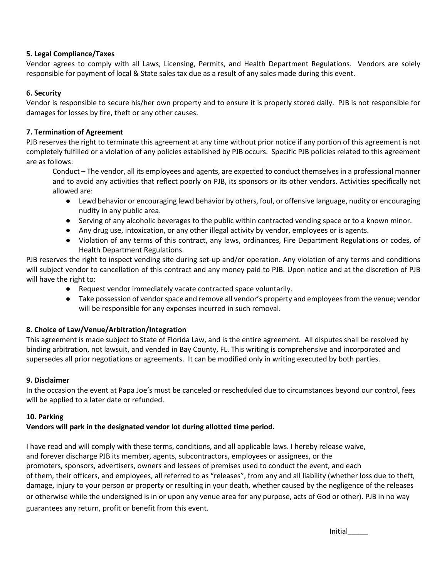## **5. Legal Compliance/Taxes**

Vendor agrees to comply with all Laws, Licensing, Permits, and Health Department Regulations. Vendors are solely responsible for payment of local & State sales tax due as a result of any sales made during this event.

## **6. Security**

Vendor is responsible to secure his/her own property and to ensure it is properly stored daily. PJB is not responsible for damages for losses by fire, theft or any other causes.

# **7. Termination of Agreement**

PJB reserves the right to terminate this agreement at any time without prior notice if any portion of this agreement is not completely fulfilled or a violation of any policies established by PJB occurs. Specific PJB policies related to this agreement are as follows:

Conduct – The vendor, all its employees and agents, are expected to conduct themselves in a professional manner and to avoid any activities that reflect poorly on PJB, its sponsors or its other vendors. Activities specifically not allowed are:

- Lewd behavior or encouraging lewd behavior by others, foul, or offensive language, nudity or encouraging nudity in any public area.
- Serving of any alcoholic beverages to the public within contracted vending space or to a known minor.
- Any drug use, intoxication, or any other illegal activity by vendor, employees or is agents.
- Violation of any terms of this contract, any laws, ordinances, Fire Department Regulations or codes, of Health Department Regulations.

PJB reserves the right to inspect vending site during set-up and/or operation. Any violation of any terms and conditions will subject vendor to cancellation of this contract and any money paid to PJB. Upon notice and at the discretion of PJB will have the right to:

- Request vendor immediately vacate contracted space voluntarily.
- Take possession of vendor space and remove all vendor's property and employees from the venue; vendor will be responsible for any expenses incurred in such removal.

#### **8. Choice of Law/Venue/Arbitration/Integration**

This agreement is made subject to State of Florida Law, and is the entire agreement. All disputes shall be resolved by binding arbitration, not lawsuit, and vended in Bay County, FL. This writing is comprehensive and incorporated and supersedes all prior negotiations or agreements. It can be modified only in writing executed by both parties.

#### **9. Disclaimer**

In the occasion the event at Papa Joe's must be canceled or rescheduled due to circumstances beyond our control, fees will be applied to a later date or refunded.

#### **10. Parking**

#### **Vendors will park in the designated vendor lot during allotted time period.**

I have read and will comply with these terms, conditions, and all applicable laws. I hereby release waive, and forever discharge PJB its member, agents, subcontractors, employees or assignees, or the promoters, sponsors, advertisers, owners and lessees of premises used to conduct the event, and each of them, their officers, and employees, all referred to as "releases", from any and all liability (whether loss due to theft, damage, injury to your person or property or resulting in your death, whether caused by the negligence of the releases or otherwise while the undersigned is in or upon any venue area for any purpose, acts of God or other). PJB in no way guarantees any return, profit or benefit from this event.

Initial\_\_\_\_\_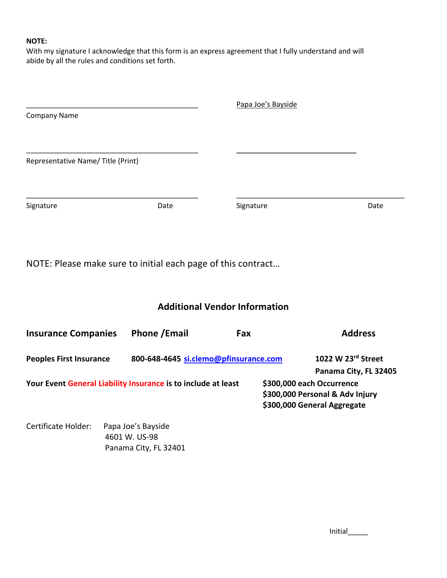## **NOTE:**

With my signature I acknowledge that this form is an express agreement that I fully understand and will abide by all the rules and conditions set forth.

|                                   |      | Papa Joe's Bayside |      |
|-----------------------------------|------|--------------------|------|
| Company Name                      |      |                    |      |
|                                   |      |                    |      |
| Representative Name/Title (Print) |      |                    |      |
|                                   |      |                    |      |
| Signature                         | Date | Signature          | Date |

NOTE: Please make sure to initial each page of this contract…

# **Additional Vendor Information**

| <b>Insurance Companies</b>                                    | <b>Phone / Email</b>                  | Fax                       | <b>Address</b>                                                 |
|---------------------------------------------------------------|---------------------------------------|---------------------------|----------------------------------------------------------------|
| <b>Peoples First Insurance</b>                                | 800-648-4645 si.clemo@pfinsurance.com |                           | 1022 W 23rd Street<br>Panama City, FL 32405                    |
| Your Event General Liability Insurance is to include at least |                                       | \$300,000 each Occurrence | \$300,000 Personal & Adv Injury<br>\$300,000 General Aggregate |

Certificate Holder: Papa Joe's Bayside 4601 W. US-98 Panama City, FL 32401

Initial\_\_\_\_\_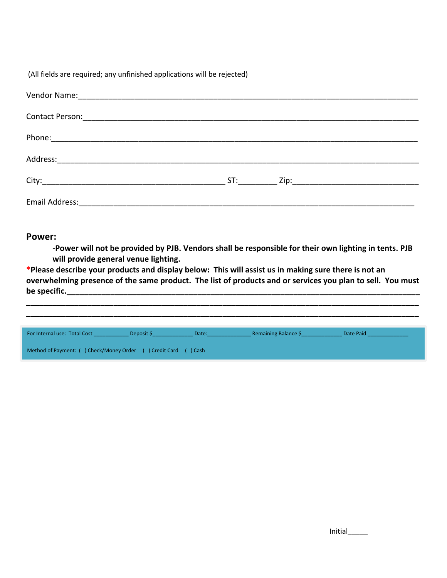(All fields are required; any unfinished applications will be rejected)

| ST: |  |
|-----|--|
|     |  |

# **Power:**

**-Power will not be provided by PJB. Vendors shall be responsible for their own lighting in tents. PJB will provide general venue lighting.** 

**\*Please describe your products and display below: This will assist us in making sure there is not an overwhelming presence of the same product. The list of products and or services you plan to sell. You must be specific.\_\_\_\_\_\_\_\_\_\_\_\_\_\_\_\_\_\_\_\_\_\_\_\_\_\_\_\_\_\_\_\_\_\_\_\_\_\_\_\_\_\_\_\_\_\_\_\_\_\_\_\_\_\_\_\_\_\_\_\_\_\_\_\_\_\_\_\_\_\_\_\_\_\_\_\_\_\_\_\_\_**

**\_\_\_\_\_\_\_\_\_\_\_\_\_\_\_\_\_\_\_\_\_\_\_\_\_\_\_\_\_\_\_\_\_\_\_\_\_\_\_\_\_\_\_\_\_\_\_\_\_\_\_\_\_\_\_\_\_\_\_\_\_\_\_\_\_\_\_\_\_\_\_\_\_\_\_\_\_\_\_\_\_\_\_\_\_\_\_\_\_\_ \_\_\_\_\_\_\_\_\_\_\_\_\_\_\_\_\_\_\_\_\_\_\_\_\_\_\_\_\_\_\_\_\_\_\_\_\_\_\_\_\_\_\_\_\_\_\_\_\_\_\_\_\_\_\_\_\_\_\_\_\_\_\_\_\_\_\_\_\_\_\_\_\_\_\_\_\_\_\_\_\_\_\_\_\_\_\_\_\_\_**

| For Internal use: Total Cost                                   | Deposit \$ | Date: | Remaining Balance \$ | Date Paid |
|----------------------------------------------------------------|------------|-------|----------------------|-----------|
| Method of Payment: () Check/Money Order () Credit Card () Cash |            |       |                      |           |